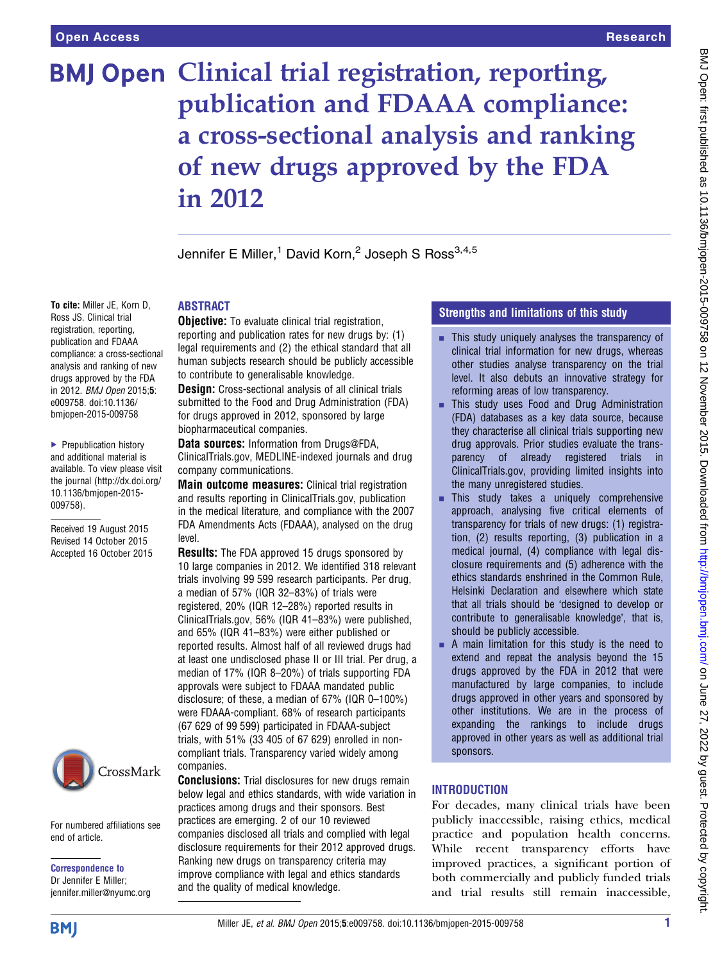# **BMJ Open Clinical trial registration, reporting,** publication and FDAAA compliance: a cross-sectional analysis and ranking of new drugs approved by the FDA in 2012

Jennifer E Miller,<sup>1</sup> David Korn,<sup>2</sup> Joseph S Ross<sup>3,4,5</sup>

## ABSTRACT

**Objective:** To evaluate clinical trial registration, reporting and publication rates for new drugs by: (1) legal requirements and (2) the ethical standard that all human subjects research should be publicly accessible to contribute to generalisable knowledge.

**Design:** Cross-sectional analysis of all clinical trials submitted to the Food and Drug Administration (FDA) for drugs approved in 2012, sponsored by large biopharmaceutical companies.

Data sources: Information from Drugs@FDA, ClinicalTrials.gov, MEDLINE-indexed journals and drug company communications.

Main outcome measures: Clinical trial registration and results reporting in ClinicalTrials.gov, publication in the medical literature, and compliance with the 2007 FDA Amendments Acts (FDAAA), analysed on the drug level.

**Results:** The FDA approved 15 drugs sponsored by 10 large companies in 2012. We identified 318 relevant trials involving 99 599 research participants. Per drug, a median of 57% (IQR 32–83%) of trials were registered, 20% (IQR 12–28%) reported results in ClinicalTrials.gov, 56% (IQR 41–83%) were published, and 65% (IQR 41–83%) were either published or reported results. Almost half of all reviewed drugs had at least one undisclosed phase II or III trial. Per drug, a median of 17% (IQR 8–20%) of trials supporting FDA approvals were subject to FDAAA mandated public disclosure; of these, a median of 67% (IQR 0–100%) were FDAAA-compliant. 68% of research participants (67 629 of 99 599) participated in FDAAA-subject trials, with 51% (33 405 of 67 629) enrolled in noncompliant trials. Transparency varied widely among companies.

**Conclusions:** Trial disclosures for new drugs remain below legal and ethics standards, with wide variation in practices among drugs and their sponsors. Best practices are emerging. 2 of our 10 reviewed companies disclosed all trials and complied with legal disclosure requirements for their 2012 approved drugs. Ranking new drugs on transparency criteria may improve compliance with legal and ethics standards and the quality of medical knowledge.

# Strengths and limitations of this study

- $\blacksquare$  This study uniquely analyses the transparency of clinical trial information for new drugs, whereas other studies analyse transparency on the trial level. It also debuts an innovative strategy for reforming areas of low transparency.
- This study uses Food and Drug Administration (FDA) databases as a key data source, because they characterise all clinical trials supporting new drug approvals. Prior studies evaluate the transparency of already registered trials in ClinicalTrials.gov, providing limited insights into the many unregistered studies.
- **EXECUTE:** This study takes a uniquely comprehensive approach, analysing five critical elements of transparency for trials of new drugs: (1) registration, (2) results reporting, (3) publication in a medical journal, (4) compliance with legal disclosure requirements and (5) adherence with the ethics standards enshrined in the Common Rule, Helsinki Declaration and elsewhere which state that all trials should be 'designed to develop or contribute to generalisable knowledge', that is, should be publicly accessible.
- $\blacksquare$  A main limitation for this study is the need to extend and repeat the analysis beyond the 15 drugs approved by the FDA in 2012 that were manufactured by large companies, to include drugs approved in other years and sponsored by other institutions. We are in the process of expanding the rankings to include drugs approved in other years as well as additional trial sponsors.

# **INTRODUCTION**

For decades, many clinical trials have been publicly inaccessible, raising ethics, medical practice and population health concerns. While recent transparency efforts have improved practices, a significant portion of both commercially and publicly funded trials and trial results still remain inaccessible,

Ross JS. Clinical trial registration, reporting, publication and FDAAA compliance: a cross-sectional analysis and ranking of new drugs approved by the FDA in 2012. BMJ Open 2015;5: e009758. doi:10.1136/ bmjopen-2015-009758

To cite: Miller JE, Korn D,

▶ Prepublication history and additional material is available. To view please visit the journal [\(http://dx.doi.org/](http://dx.doi.org/10.1136/bmjopen-2015-009758) [10.1136/bmjopen-2015-](http://dx.doi.org/10.1136/bmjopen-2015-009758) [009758\)](http://dx.doi.org/10.1136/bmjopen-2015-009758).

Received 19 August 2015 Revised 14 October 2015 Accepted 16 October 2015



For numbered affiliations see end of article.

Correspondence to Dr Jennifer E Miller; jennifer.miller@nyumc.org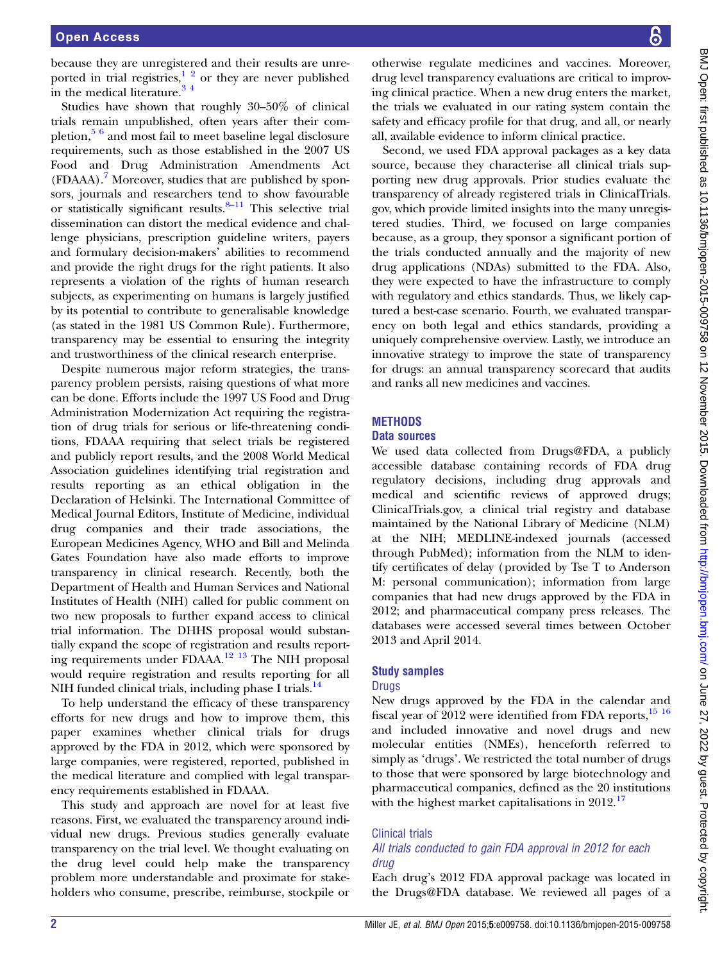because they are unregistered and their results are unreported in trial registries, $\frac{1}{2}$  or they are never published in the medical literature.<sup>34</sup>

Studies have shown that roughly 30–50% of clinical trials remain unpublished, often years after their completion, $5\,6\,$  and most fail to meet baseline legal disclosure requirements, such as those established in the 2007 US Food and Drug Administration Amendments Act  $(FDAAA)$ .<sup>[7](#page-7-0)</sup> Moreover, studies that are published by sponsors, journals and researchers tend to show favourable or statistically significant results. $8-11$  $8-11$  This selective trial dissemination can distort the medical evidence and challenge physicians, prescription guideline writers, payers and formulary decision-makers' abilities to recommend and provide the right drugs for the right patients. It also represents a violation of the rights of human research subjects, as experimenting on humans is largely justified by its potential to contribute to generalisable knowledge (as stated in the 1981 US Common Rule). Furthermore, transparency may be essential to ensuring the integrity and trustworthiness of the clinical research enterprise.

Despite numerous major reform strategies, the transparency problem persists, raising questions of what more can be done. Efforts include the 1997 US Food and Drug Administration Modernization Act requiring the registration of drug trials for serious or life-threatening conditions, FDAAA requiring that select trials be registered and publicly report results, and the 2008 World Medical Association guidelines identifying trial registration and results reporting as an ethical obligation in the Declaration of Helsinki. The International Committee of Medical Journal Editors, Institute of Medicine, individual drug companies and their trade associations, the European Medicines Agency, WHO and Bill and Melinda Gates Foundation have also made efforts to improve transparency in clinical research. Recently, both the Department of Health and Human Services and National Institutes of Health (NIH) called for public comment on two new proposals to further expand access to clinical trial information. The DHHS proposal would substantially expand the scope of registration and results reporting requirements under FDAAA.[12 13](#page-7-0) The NIH proposal would require registration and results reporting for all NIH funded clinical trials, including phase I trials. $^{14}$  $^{14}$  $^{14}$ 

To help understand the efficacy of these transparency efforts for new drugs and how to improve them, this paper examines whether clinical trials for drugs approved by the FDA in 2012, which were sponsored by large companies, were registered, reported, published in the medical literature and complied with legal transparency requirements established in FDAAA.

This study and approach are novel for at least five reasons. First, we evaluated the transparency around individual new drugs. Previous studies generally evaluate transparency on the trial level. We thought evaluating on the drug level could help make the transparency problem more understandable and proximate for stakeholders who consume, prescribe, reimburse, stockpile or

otherwise regulate medicines and vaccines. Moreover, drug level transparency evaluations are critical to improving clinical practice. When a new drug enters the market, the trials we evaluated in our rating system contain the safety and efficacy profile for that drug, and all, or nearly all, available evidence to inform clinical practice.

Second, we used FDA approval packages as a key data source, because they characterise all clinical trials supporting new drug approvals. Prior studies evaluate the transparency of already registered trials in ClinicalTrials. gov, which provide limited insights into the many unregistered studies. Third, we focused on large companies because, as a group, they sponsor a significant portion of the trials conducted annually and the majority of new drug applications (NDAs) submitted to the FDA. Also, they were expected to have the infrastructure to comply with regulatory and ethics standards. Thus, we likely captured a best-case scenario. Fourth, we evaluated transparency on both legal and ethics standards, providing a uniquely comprehensive overview. Lastly, we introduce an innovative strategy to improve the state of transparency for drugs: an annual transparency scorecard that audits and ranks all new medicines and vaccines.

## **METHODS**

#### Data sources

We used data collected from Drugs@FDA, a publicly accessible database containing records of FDA drug regulatory decisions, including drug approvals and medical and scientific reviews of approved drugs; ClinicalTrials.gov, a clinical trial registry and database maintained by the National Library of Medicine (NLM) at the NIH; MEDLINE-indexed journals (accessed through PubMed); information from the NLM to identify certificates of delay (provided by Tse T to Anderson M: personal communication); information from large companies that had new drugs approved by the FDA in 2012; and pharmaceutical company press releases. The databases were accessed several times between October 2013 and April 2014.

#### Study samples

#### Drugs

New drugs approved by the FDA in the calendar and fiscal year of 2012 were identified from FDA reports,<sup>[15 16](#page-7-0)</sup> and included innovative and novel drugs and new molecular entities (NMEs), henceforth referred to simply as 'drugs'. We restricted the total number of drugs to those that were sponsored by large biotechnology and pharmaceutical companies, defined as the 20 institutions with the highest market capitalisations in  $2012$ .<sup>[17](#page-7-0)</sup>

#### Clinical trials

## All trials conducted to gain FDA approval in 2012 for each drug

Each drug's 2012 FDA approval package was located in the Drugs@FDA database. We reviewed all pages of a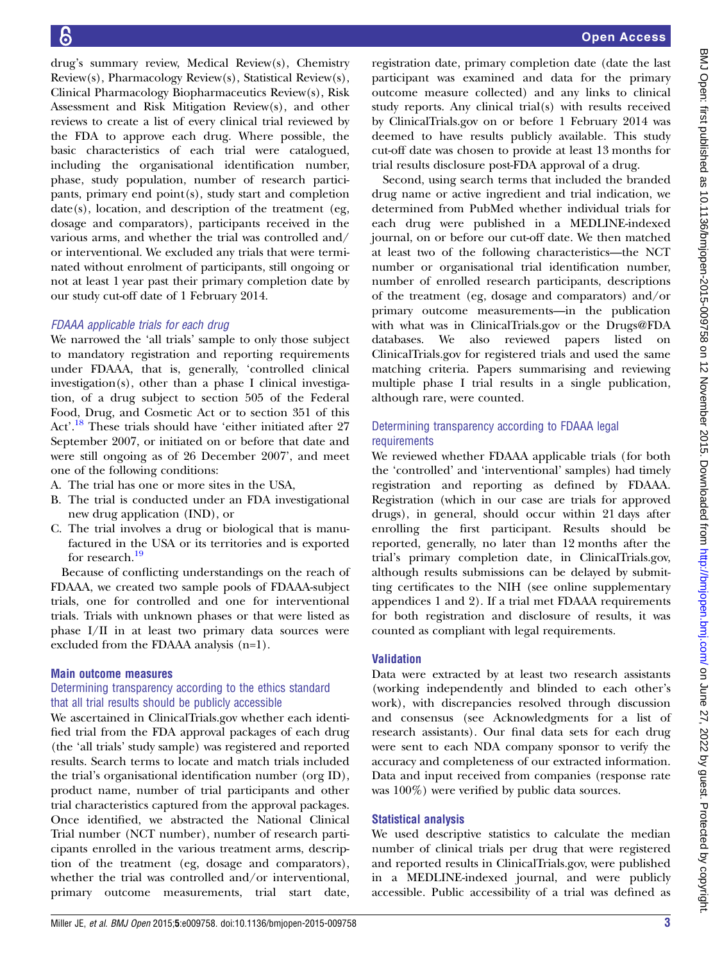drug's summary review, Medical Review(s), Chemistry Review(s), Pharmacology Review(s), Statistical Review(s), Clinical Pharmacology Biopharmaceutics Review(s), Risk Assessment and Risk Mitigation Review(s), and other reviews to create a list of every clinical trial reviewed by the FDA to approve each drug. Where possible, the basic characteristics of each trial were catalogued, including the organisational identification number, phase, study population, number of research participants, primary end point(s), study start and completion  $date(s)$ , location, and description of the treatment (eg, dosage and comparators), participants received in the various arms, and whether the trial was controlled and/ or interventional. We excluded any trials that were terminated without enrolment of participants, still ongoing or not at least 1 year past their primary completion date by our study cut-off date of 1 February 2014.

## FDAAA applicable trials for each drug

We narrowed the 'all trials' sample to only those subject to mandatory registration and reporting requirements under FDAAA, that is, generally, 'controlled clinical investigation(s), other than a phase I clinical investigation, of a drug subject to section 505 of the Federal Food, Drug, and Cosmetic Act or to section 351 of this Act'.<sup>[18](#page-7-0)</sup> These trials should have 'either initiated after 27 September 2007, or initiated on or before that date and were still ongoing as of 26 December 2007', and meet one of the following conditions:

- A. The trial has one or more sites in the USA,
- B. The trial is conducted under an FDA investigational new drug application (IND), or
- C. The trial involves a drug or biological that is manufactured in the USA or its territories and is exported for research.<sup>[19](#page-7-0)</sup>

Because of conflicting understandings on the reach of FDAAA, we created two sample pools of FDAAA-subject trials, one for controlled and one for interventional trials. Trials with unknown phases or that were listed as phase I/II in at least two primary data sources were excluded from the FDAAA analysis (n=1).

## Main outcome measures

## Determining transparency according to the ethics standard that all trial results should be publicly accessible

We ascertained in ClinicalTrials.gov whether each identified trial from the FDA approval packages of each drug (the 'all trials' study sample) was registered and reported results. Search terms to locate and match trials included the trial's organisational identification number (org ID), product name, number of trial participants and other trial characteristics captured from the approval packages. Once identified, we abstracted the National Clinical Trial number (NCT number), number of research participants enrolled in the various treatment arms, description of the treatment (eg, dosage and comparators), whether the trial was controlled and/or interventional, primary outcome measurements, trial start date,

registration date, primary completion date (date the last participant was examined and data for the primary outcome measure collected) and any links to clinical study reports. Any clinical trial(s) with results received by ClinicalTrials.gov on or before 1 February 2014 was deemed to have results publicly available. This study cut-off date was chosen to provide at least 13 months for trial results disclosure post-FDA approval of a drug.

Second, using search terms that included the branded drug name or active ingredient and trial indication, we determined from PubMed whether individual trials for each drug were published in a MEDLINE-indexed journal, on or before our cut-off date. We then matched at least two of the following characteristics—the NCT number or organisational trial identification number, number of enrolled research participants, descriptions of the treatment (eg, dosage and comparators) and/or primary outcome measurements—in the publication with what was in ClinicalTrials.gov or the Drugs@FDA databases. We also reviewed papers listed on ClinicalTrials.gov for registered trials and used the same matching criteria. Papers summarising and reviewing multiple phase I trial results in a single publication, although rare, were counted.

## Determining transparency according to FDAAA legal requirements

We reviewed whether FDAAA applicable trials (for both the 'controlled' and 'interventional' samples) had timely registration and reporting as defined by FDAAA. Registration (which in our case are trials for approved drugs), in general, should occur within 21 days after enrolling the first participant. Results should be reported, generally, no later than 12 months after the trial's primary completion date, in ClinicalTrials.gov, although results submissions can be delayed by submitting certificates to the NIH (see online supplementary appendices 1 and 2). If a trial met FDAAA requirements for both registration and disclosure of results, it was counted as compliant with legal requirements.

## Validation

Data were extracted by at least two research assistants (working independently and blinded to each other's work), with discrepancies resolved through discussion and consensus (see Acknowledgments for a list of research assistants). Our final data sets for each drug were sent to each NDA company sponsor to verify the accuracy and completeness of our extracted information. Data and input received from companies (response rate was 100%) were verified by public data sources.

## Statistical analysis

We used descriptive statistics to calculate the median number of clinical trials per drug that were registered and reported results in ClinicalTrials.gov, were published in a MEDLINE-indexed journal, and were publicly accessible. Public accessibility of a trial was defined as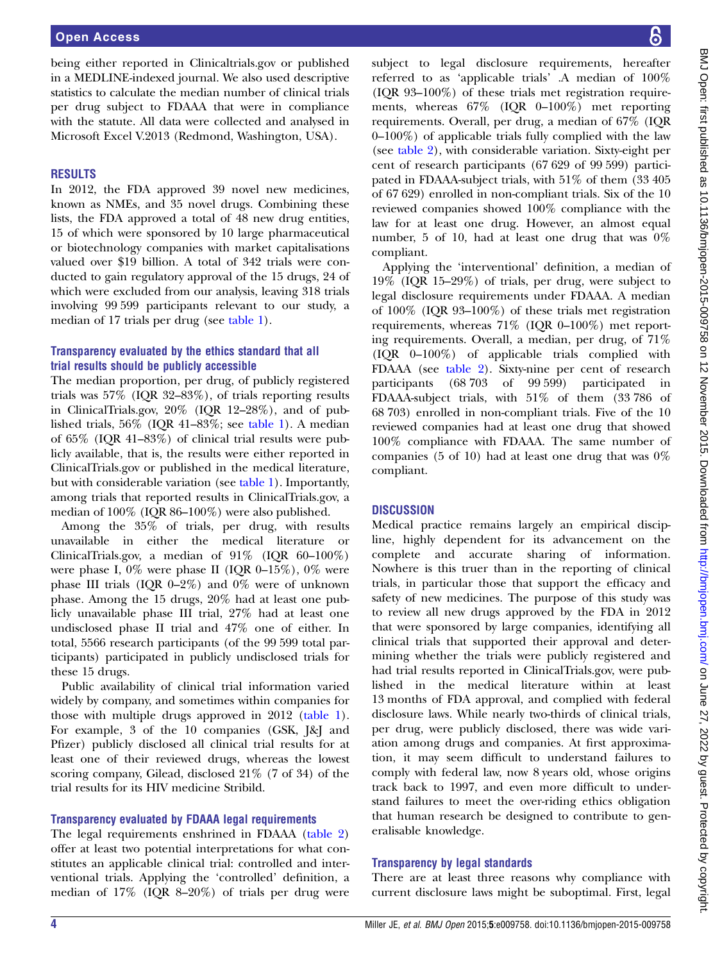being either reported in Clinicaltrials.gov or published in a MEDLINE-indexed journal. We also used descriptive statistics to calculate the median number of clinical trials per drug subject to FDAAA that were in compliance with the statute. All data were collected and analysed in Microsoft Excel V.2013 (Redmond, Washington, USA).

## RESULTS

In 2012, the FDA approved 39 novel new medicines, known as NMEs, and 35 novel drugs. Combining these lists, the FDA approved a total of 48 new drug entities, 15 of which were sponsored by 10 large pharmaceutical or biotechnology companies with market capitalisations valued over \$19 billion. A total of 342 trials were conducted to gain regulatory approval of the 15 drugs, 24 of which were excluded from our analysis, leaving 318 trials involving 99 599 participants relevant to our study, a median of 17 trials per drug (see [table 1\)](#page-4-0).

#### Transparency evaluated by the ethics standard that all trial results should be publicly accessible

The median proportion, per drug, of publicly registered trials was 57% (IQR 32–83%), of trials reporting results in ClinicalTrials.gov, 20% (IQR 12–28%), and of published trials, 56% (IQR 41–83%; see [table 1\)](#page-4-0). A median of 65% (IQR 41–83%) of clinical trial results were publicly available, that is, the results were either reported in ClinicalTrials.gov or published in the medical literature, but with considerable variation (see [table 1](#page-4-0)). Importantly, among trials that reported results in ClinicalTrials.gov, a median of 100% (IQR 86–100%) were also published.

Among the 35% of trials, per drug, with results unavailable in either the medical literature or ClinicalTrials.gov, a median of 91% (IQR 60–100%) were phase I, 0% were phase II (IQR 0–15%), 0% were phase III trials (IQR  $0-2\%$ ) and  $0\%$  were of unknown phase. Among the 15 drugs, 20% had at least one publicly unavailable phase III trial, 27% had at least one undisclosed phase II trial and 47% one of either. In total, 5566 research participants (of the 99 599 total participants) participated in publicly undisclosed trials for these 15 drugs.

Public availability of clinical trial information varied widely by company, and sometimes within companies for those with multiple drugs approved in 2012 [\(table 1\)](#page-4-0). For example, 3 of the 10 companies (GSK, J&J and Pfizer) publicly disclosed all clinical trial results for at least one of their reviewed drugs, whereas the lowest scoring company, Gilead, disclosed 21% (7 of 34) of the trial results for its HIV medicine Stribild.

## Transparency evaluated by FDAAA legal requirements

The legal requirements enshrined in FDAAA [\(table 2](#page-5-0)) offer at least two potential interpretations for what constitutes an applicable clinical trial: controlled and interventional trials. Applying the 'controlled' definition, a median of 17% (IQR 8–20%) of trials per drug were

subject to legal disclosure requirements, hereafter referred to as 'applicable trials' .A median of 100% (IQR 93–100%) of these trials met registration requirements, whereas 67% (IQR 0–100%) met reporting requirements. Overall, per drug, a median of 67% (IQR 0–100%) of applicable trials fully complied with the law (see [table 2\)](#page-5-0), with considerable variation. Sixty-eight per cent of research participants (67 629 of 99 599) participated in FDAAA-subject trials, with 51% of them (33 405 of 67 629) enrolled in non-compliant trials. Six of the 10 reviewed companies showed 100% compliance with the law for at least one drug. However, an almost equal number, 5 of 10, had at least one drug that was 0% compliant.

Applying the 'interventional' definition, a median of 19% (IQR 15–29%) of trials, per drug, were subject to legal disclosure requirements under FDAAA. A median of 100% (IQR 93–100%) of these trials met registration requirements, whereas 71% (IQR 0–100%) met reporting requirements. Overall, a median, per drug, of 71% (IQR 0–100%) of applicable trials complied with FDAAA (see [table 2](#page-5-0)). Sixty-nine per cent of research participants (68 703 of 99 599) participated in FDAAA-subject trials, with 51% of them (33 786 of 68 703) enrolled in non-compliant trials. Five of the 10 reviewed companies had at least one drug that showed 100% compliance with FDAAA. The same number of companies (5 of 10) had at least one drug that was 0% compliant.

## **DISCUSSION**

Medical practice remains largely an empirical discipline, highly dependent for its advancement on the complete and accurate sharing of information. Nowhere is this truer than in the reporting of clinical trials, in particular those that support the efficacy and safety of new medicines. The purpose of this study was to review all new drugs approved by the FDA in 2012 that were sponsored by large companies, identifying all clinical trials that supported their approval and determining whether the trials were publicly registered and had trial results reported in ClinicalTrials.gov, were published in the medical literature within at least 13 months of FDA approval, and complied with federal disclosure laws. While nearly two-thirds of clinical trials, per drug, were publicly disclosed, there was wide variation among drugs and companies. At first approximation, it may seem difficult to understand failures to comply with federal law, now 8 years old, whose origins track back to 1997, and even more difficult to understand failures to meet the over-riding ethics obligation that human research be designed to contribute to generalisable knowledge.

#### Transparency by legal standards

There are at least three reasons why compliance with current disclosure laws might be suboptimal. First, legal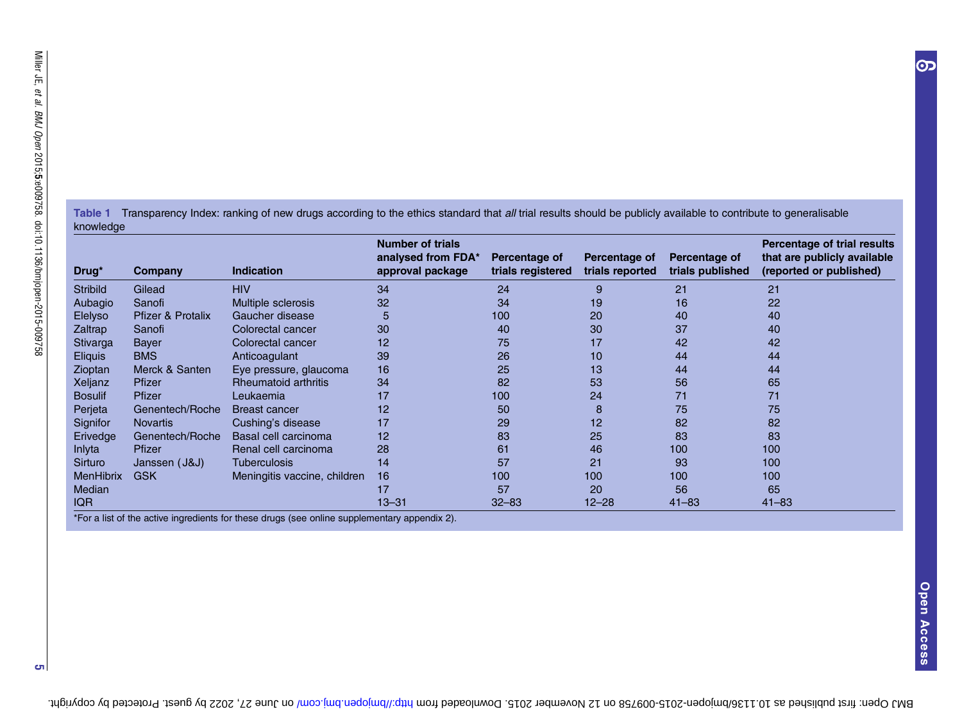| BM/ 005788 (1915-1967) 00578 (1911-1967) 005791 00578 (1916-1920) |  |
|-------------------------------------------------------------------|--|

<span id="page-4-0"></span>Miller JE,

et al.

Table 1 Transparency Index: ranking of new drugs according to the ethics standard that all trial results should be publicly available to contribute to generalisable knowledge

| Drug*            | Company                      | <b>Indication</b>            | <b>Number of trials</b><br>analysed from FDA*<br>approval package | Percentage of<br>trials registered | Percentage of<br>trials reported | Percentage of<br>trials published | <b>Percentage of trial results</b><br>that are publicly available<br>(reported or published) |
|------------------|------------------------------|------------------------------|-------------------------------------------------------------------|------------------------------------|----------------------------------|-----------------------------------|----------------------------------------------------------------------------------------------|
| <b>Stribild</b>  | Gilead                       | <b>HIV</b>                   | 34                                                                | 24                                 | 9                                | 21                                | 21                                                                                           |
| Aubagio          | Sanofi                       | Multiple sclerosis           | 32                                                                | 34                                 | 19                               | 16                                | 22                                                                                           |
| Elelyso          | <b>Pfizer &amp; Protalix</b> | Gaucher disease              | 5                                                                 | 100                                | 20                               | 40                                | 40                                                                                           |
| Zaltrap          | Sanofi                       | Colorectal cancer            | 30                                                                | 40                                 | 30                               | 37                                | 40                                                                                           |
| <b>Stivarga</b>  | <b>Bayer</b>                 | Colorectal cancer            | 12                                                                | 75                                 | 17                               | 42                                | 42                                                                                           |
| <b>Eliquis</b>   | <b>BMS</b>                   | Anticoagulant                | 39                                                                | 26                                 | 10                               | 44                                | 44                                                                                           |
| Zioptan          | Merck & Santen               | Eye pressure, glaucoma       | 16                                                                | 25                                 | 13                               | 44                                | 44                                                                                           |
| Xeljanz          | Pfizer                       | <b>Rheumatoid arthritis</b>  | 34                                                                | 82                                 | 53                               | 56                                | 65                                                                                           |
| <b>Bosulif</b>   | Pfizer                       | Leukaemia                    | 17                                                                | 100                                | 24                               | 71                                | 71                                                                                           |
| Perjeta          | Genentech/Roche              | <b>Breast cancer</b>         | 12                                                                | 50                                 | 8                                | 75                                | 75                                                                                           |
| Signifor         | <b>Novartis</b>              | Cushing's disease            | 17                                                                | 29                                 | 12                               | 82                                | 82                                                                                           |
| Erivedge         | Genentech/Roche              | Basal cell carcinoma         | 12                                                                | 83                                 | 25                               | 83                                | 83                                                                                           |
| Inlyta           | Pfizer                       | Renal cell carcinoma         | 28                                                                | 61                                 | 46                               | 100                               | 100                                                                                          |
| Sirturo          | Janssen (J&J)                | Tuberculosis                 | 14                                                                | 57                                 | 21                               | 93                                | 100                                                                                          |
| <b>MenHibrix</b> | <b>GSK</b>                   | Meningitis vaccine, children | 16                                                                | 100                                | 100                              | 100                               | 100                                                                                          |
| <b>Median</b>    |                              |                              | 17                                                                | 57                                 | 20                               | 56                                | 65                                                                                           |
| <b>IQR</b>       |                              |                              | $13 - 31$                                                         | $32 - 83$                          | $12 - 28$                        | $41 - 83$                         | $41 - 83$                                                                                    |

\*For <sup>a</sup> list of the active ingredients for these drugs (see online supplementary appendix 2).

BMJ Open: first published as 10.11309/open-2007500-8102 request. Downloaded from http://bmjopen.bm/ on June 21, 2022 by guest. Protected by copyright.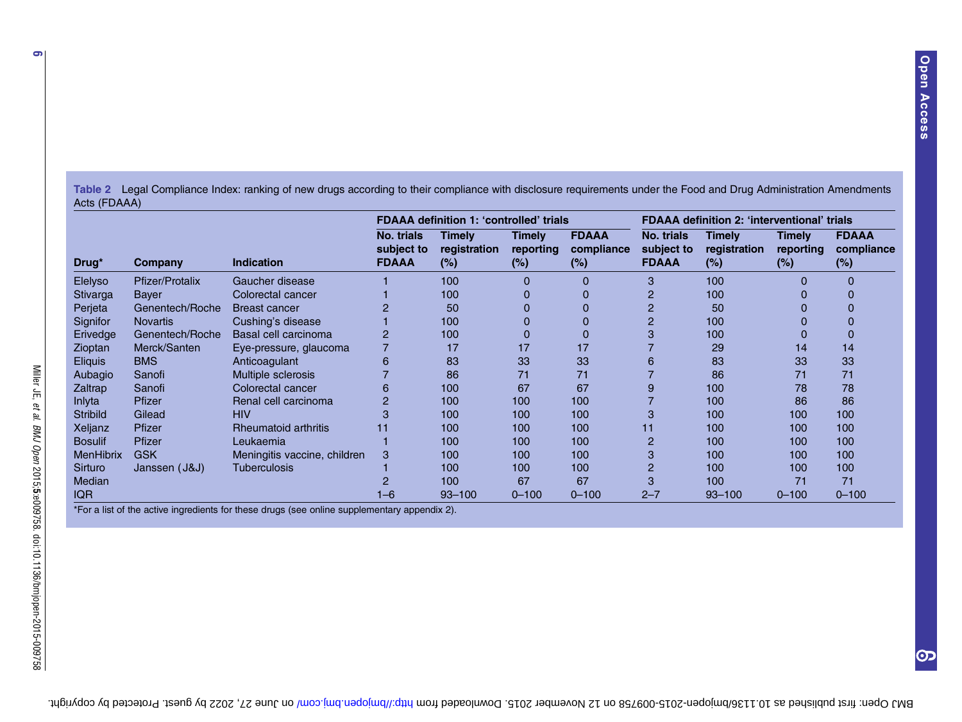<span id="page-5-0"></span>Table 2 Legal Compliance Index: ranking of new drugs according to their compliance with disclosure requirements under the Food and Drug Administration Amendments Acts (FDAAA)

|                  |                        |                              | <b>FDAAA definition 1: 'controlled' trials</b> |                                         |                               |                                      | <b>FDAAA definition 2: 'interventional' trials</b> |                                         |                               |                                   |
|------------------|------------------------|------------------------------|------------------------------------------------|-----------------------------------------|-------------------------------|--------------------------------------|----------------------------------------------------|-----------------------------------------|-------------------------------|-----------------------------------|
| Drug*            | Company                | <b>Indication</b>            | No. trials<br>subject to<br><b>FDAAA</b>       | <b>Timely</b><br>registration<br>$(\%)$ | Timely<br>reporting<br>$(\%)$ | <b>FDAAA</b><br>compliance<br>$(\%)$ | No. trials<br>subject to<br><b>FDAAA</b>           | <b>Timely</b><br>registration<br>$(\%)$ | Timely<br>reporting<br>$(\%)$ | <b>FDAAA</b><br>compliance<br>(%) |
| Elelyso          | <b>Pfizer/Protalix</b> | Gaucher disease              |                                                | 100                                     | $\Omega$                      | $\Omega$                             | 3                                                  | 100                                     | $\Omega$                      | $\Omega$                          |
| Stivarga         | Bayer                  | Colorectal cancer            |                                                | 100                                     |                               | 0                                    | 2                                                  | 100                                     |                               |                                   |
| Perjeta          | Genentech/Roche        | <b>Breast cancer</b>         |                                                | 50                                      |                               | 0                                    | 2                                                  | 50                                      |                               |                                   |
| Signifor         | <b>Novartis</b>        | Cushing's disease            |                                                | 100                                     |                               | 0                                    | 2                                                  | 100                                     |                               |                                   |
| Erivedge         | Genentech/Roche        | Basal cell carcinoma         |                                                | 100                                     |                               | $\Omega$                             | 3                                                  | 100                                     |                               |                                   |
| Zioptan          | Merck/Santen           | Eye-pressure, glaucoma       |                                                | 17                                      | 17                            | 17                                   |                                                    | 29                                      | 14                            | 14                                |
| <b>Eliquis</b>   | <b>BMS</b>             | Anticoagulant                | 6                                              | 83                                      | 33                            | 33                                   | 6                                                  | 83                                      | 33                            | 33                                |
| Aubagio          | Sanofi                 | Multiple sclerosis           |                                                | 86                                      | 71                            | 71                                   |                                                    | 86                                      | 71                            | 71                                |
| Zaltrap          | Sanofi                 | Colorectal cancer            | 6                                              | 100                                     | 67                            | 67                                   | 9                                                  | 100                                     | 78                            | 78                                |
| Inlyta           | Pfizer                 | Renal cell carcinoma         | 2                                              | 100                                     | 100                           | 100                                  |                                                    | 100                                     | 86                            | 86                                |
| <b>Stribild</b>  | Gilead                 | <b>HIV</b>                   | 3                                              | 100                                     | 100                           | 100                                  | 3                                                  | 100                                     | 100                           | 100                               |
| Xeljanz          | <b>Pfizer</b>          | <b>Rheumatoid arthritis</b>  | 11                                             | 100                                     | 100                           | 100                                  | 11                                                 | 100                                     | 100                           | 100                               |
| <b>Bosulif</b>   | <b>Pfizer</b>          | Leukaemia                    |                                                | 100                                     | 100                           | 100                                  | $\overline{2}$                                     | 100                                     | 100                           | 100                               |
| <b>MenHibrix</b> | <b>GSK</b>             | Meningitis vaccine, children | 3                                              | 100                                     | 100                           | 100                                  | 3                                                  | 100                                     | 100                           | 100                               |
| <b>Sirturo</b>   | Janssen (J&J)          | <b>Tuberculosis</b>          |                                                | 100                                     | 100                           | 100                                  | $\overline{2}$                                     | 100                                     | 100                           | 100                               |
| <b>Median</b>    |                        |                              |                                                | 100                                     | 67                            | 67                                   | 3                                                  | 100                                     | 71                            | 71                                |
| <b>IQR</b>       |                        |                              | $1 - 6$                                        | $93 - 100$                              | $0 - 100$                     | $0 - 100$                            | $2 - 7$                                            | $93 - 100$                              | $0 - 100$                     | $0 - 100$                         |

\*For <sup>a</sup> list of the active ingredients for these drugs (see online supplementary appendix 2).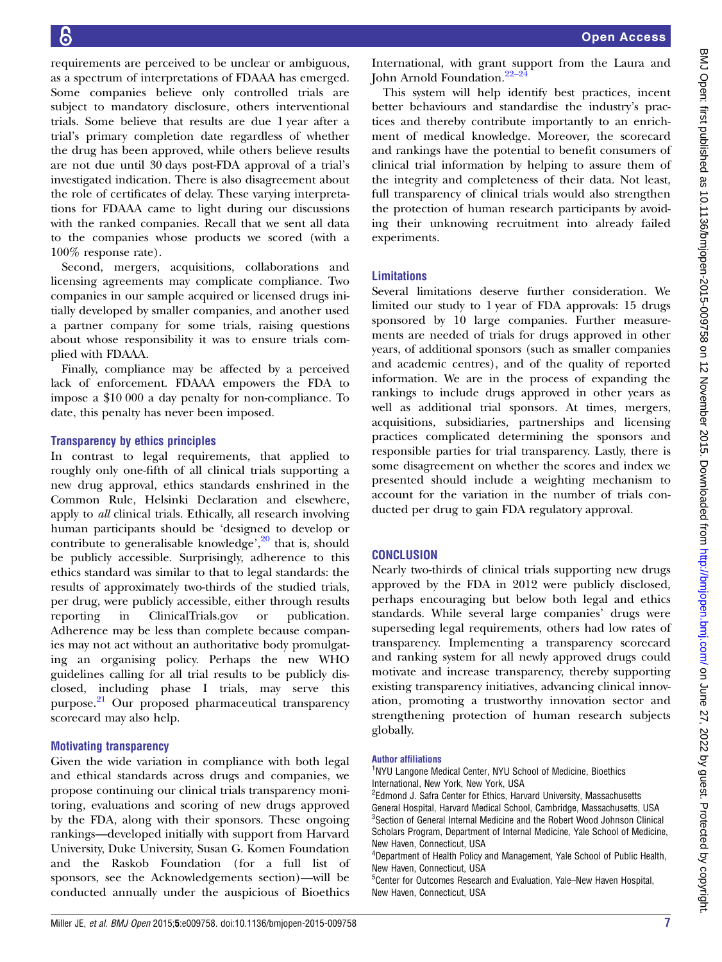requirements are perceived to be unclear or ambiguous, as a spectrum of interpretations of FDAAA has emerged. Some companies believe only controlled trials are subject to mandatory disclosure, others interventional trials. Some believe that results are due 1 year after a trial's primary completion date regardless of whether the drug has been approved, while others believe results are not due until 30 days post-FDA approval of a trial's investigated indication. There is also disagreement about the role of certificates of delay. These varying interpretations for FDAAA came to light during our discussions with the ranked companies. Recall that we sent all data to the companies whose products we scored (with a 100% response rate).

Second, mergers, acquisitions, collaborations and licensing agreements may complicate compliance. Two companies in our sample acquired or licensed drugs initially developed by smaller companies, and another used a partner company for some trials, raising questions about whose responsibility it was to ensure trials complied with FDAAA.

Finally, compliance may be affected by a perceived lack of enforcement. FDAAA empowers the FDA to impose a \$10 000 a day penalty for non-compliance. To date, this penalty has never been imposed.

#### Transparency by ethics principles

In contrast to legal requirements, that applied to roughly only one-fifth of all clinical trials supporting a new drug approval, ethics standards enshrined in the Common Rule, Helsinki Declaration and elsewhere, apply to all clinical trials. Ethically, all research involving human participants should be 'designed to develop or contribute to generalisable knowledge',<sup>[20](#page-7-0)</sup> that is, should be publicly accessible. Surprisingly, adherence to this ethics standard was similar to that to legal standards: the results of approximately two-thirds of the studied trials, per drug, were publicly accessible, either through results reporting in ClinicalTrials.gov or publication. Adherence may be less than complete because companies may not act without an authoritative body promulgating an organising policy. Perhaps the new WHO guidelines calling for all trial results to be publicly disclosed, including phase I trials, may serve this purpose.<sup>[21](#page-7-0)</sup> Our proposed pharmaceutical transparency scorecard may also help.

#### Motivating transparency

Given the wide variation in compliance with both legal and ethical standards across drugs and companies, we propose continuing our clinical trials transparency monitoring, evaluations and scoring of new drugs approved by the FDA, along with their sponsors. These ongoing rankings—developed initially with support from Harvard University, Duke University, Susan G. Komen Foundation and the Raskob Foundation (for a full list of sponsors, see the Acknowledgements section)—will be conducted annually under the auspicious of Bioethics

International, with grant support from the Laura and John Arnold Foundation.<sup>[22](#page-7-0)–24</sup>

This system will help identify best practices, incent better behaviours and standardise the industry's practices and thereby contribute importantly to an enrichment of medical knowledge. Moreover, the scorecard and rankings have the potential to benefit consumers of clinical trial information by helping to assure them of the integrity and completeness of their data. Not least, full transparency of clinical trials would also strengthen the protection of human research participants by avoiding their unknowing recruitment into already failed experiments.

#### Limitations

Several limitations deserve further consideration. We limited our study to 1 year of FDA approvals: 15 drugs sponsored by 10 large companies. Further measurements are needed of trials for drugs approved in other years, of additional sponsors (such as smaller companies and academic centres), and of the quality of reported information. We are in the process of expanding the rankings to include drugs approved in other years as well as additional trial sponsors. At times, mergers, acquisitions, subsidiaries, partnerships and licensing practices complicated determining the sponsors and responsible parties for trial transparency. Lastly, there is some disagreement on whether the scores and index we presented should include a weighting mechanism to account for the variation in the number of trials conducted per drug to gain FDA regulatory approval.

#### **CONCLUSION**

Nearly two-thirds of clinical trials supporting new drugs approved by the FDA in 2012 were publicly disclosed, perhaps encouraging but below both legal and ethics standards. While several large companies' drugs were superseding legal requirements, others had low rates of transparency. Implementing a transparency scorecard and ranking system for all newly approved drugs could motivate and increase transparency, thereby supporting existing transparency initiatives, advancing clinical innovation, promoting a trustworthy innovation sector and strengthening protection of human research subjects globally.

#### Author affiliations

<sup>1</sup>NYU Langone Medical Center, NYU School of Medicine, Bioethics International, New York, New York, USA

<sup>2</sup>Edmond J. Safra Center for Ethics, Harvard University, Massachusetts General Hospital, Harvard Medical School, Cambridge, Massachusetts, USA <sup>3</sup>Section of General Internal Medicine and the Robert Wood Johnson Clinical Scholars Program, Department of Internal Medicine, Yale School of Medicine, New Haven, Connecticut, USA

<sup>4</sup>Department of Health Policy and Management, Yale School of Public Health, New Haven, Connecticut, USA

5 Center for Outcomes Research and Evaluation, Yale–New Haven Hospital, New Haven, Connecticut, USA